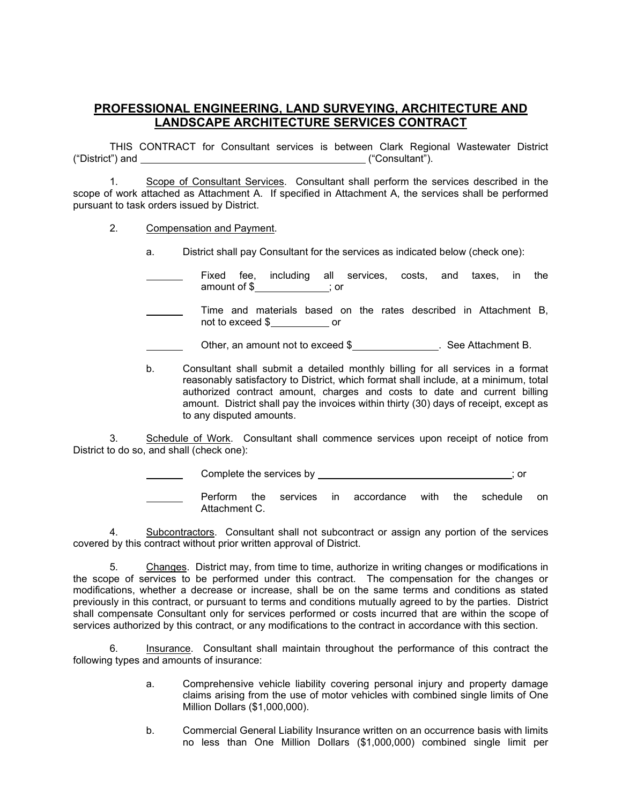## **PROFESSIONAL ENGINEERING, LAND SURVEYING, ARCHITECTURE AND LANDSCAPE ARCHITECTURE SERVICES CONTRACT**

THIS CONTRACT for Consultant services is between Clark Regional Wastewater District ("District") and ("Consultant").

1. Scope of Consultant Services. Consultant shall perform the services described in the scope of work attached as Attachment A. If specified in Attachment A, the services shall be performed pursuant to task orders issued by District.

- 2. Compensation and Payment.
	- a. District shall pay Consultant for the services as indicated below (check one):
	- Fixed fee, including all services, costs, and taxes, in the amount of \$ ; or
	- Time and materials based on the rates described in Attachment B, not to exceed \$ or
	- Other, an amount not to exceed \$<br>
	<u>
	See Attachment B.</u>
	- b. Consultant shall submit a detailed monthly billing for all services in a format reasonably satisfactory to District, which format shall include, at a minimum, total authorized contract amount, charges and costs to date and current billing amount. District shall pay the invoices within thirty (30) days of receipt, except as to any disputed amounts.

3. Schedule of Work. Consultant shall commence services upon receipt of notice from District to do so, and shall (check one):

Complete the services by \_\_\_\_\_\_\_\_\_\_\_\_\_\_\_\_\_\_\_\_\_\_\_\_\_\_\_\_\_\_\_\_\_; or

Perform the services in accordance with the schedule on Attachment C.

4. Subcontractors. Consultant shall not subcontract or assign any portion of the services covered by this contract without prior written approval of District.

5. Changes. District may, from time to time, authorize in writing changes or modifications in the scope of services to be performed under this contract. The compensation for the changes or modifications, whether a decrease or increase, shall be on the same terms and conditions as stated previously in this contract, or pursuant to terms and conditions mutually agreed to by the parties. District shall compensate Consultant only for services performed or costs incurred that are within the scope of services authorized by this contract, or any modifications to the contract in accordance with this section.

6. Insurance. Consultant shall maintain throughout the performance of this contract the following types and amounts of insurance:

- a. Comprehensive vehicle liability covering personal injury and property damage claims arising from the use of motor vehicles with combined single limits of One Million Dollars (\$1,000,000).
- b. Commercial General Liability Insurance written on an occurrence basis with limits no less than One Million Dollars (\$1,000,000) combined single limit per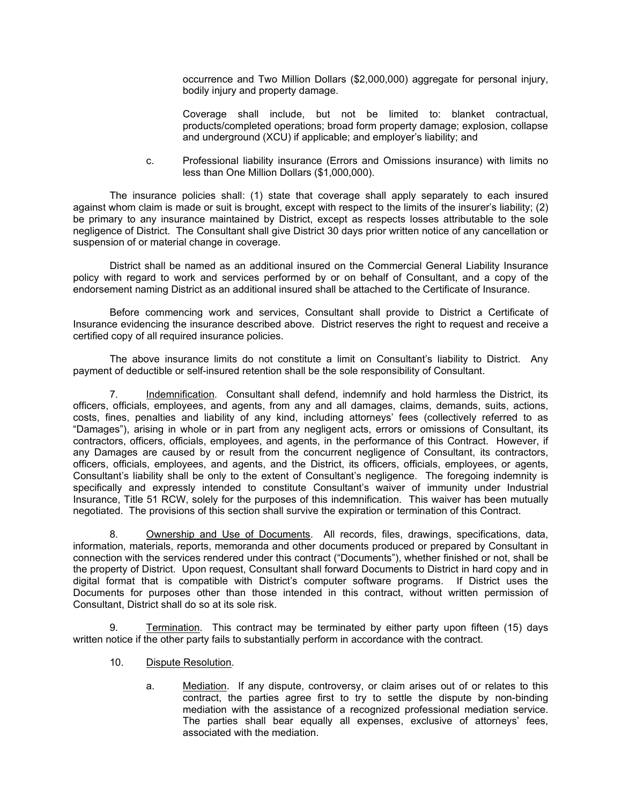occurrence and Two Million Dollars (\$2,000,000) aggregate for personal injury, bodily injury and property damage.

Coverage shall include, but not be limited to: blanket contractual, products/completed operations; broad form property damage; explosion, collapse and underground (XCU) if applicable; and employer's liability; and

c. Professional liability insurance (Errors and Omissions insurance) with limits no less than One Million Dollars (\$1,000,000).

The insurance policies shall: (1) state that coverage shall apply separately to each insured against whom claim is made or suit is brought, except with respect to the limits of the insurer's liability; (2) be primary to any insurance maintained by District, except as respects losses attributable to the sole negligence of District. The Consultant shall give District 30 days prior written notice of any cancellation or suspension of or material change in coverage.

District shall be named as an additional insured on the Commercial General Liability Insurance policy with regard to work and services performed by or on behalf of Consultant, and a copy of the endorsement naming District as an additional insured shall be attached to the Certificate of Insurance.

Before commencing work and services, Consultant shall provide to District a Certificate of Insurance evidencing the insurance described above. District reserves the right to request and receive a certified copy of all required insurance policies.

The above insurance limits do not constitute a limit on Consultant's liability to District. Any payment of deductible or self-insured retention shall be the sole responsibility of Consultant.

7. Indemnification. Consultant shall defend, indemnify and hold harmless the District, its officers, officials, employees, and agents, from any and all damages, claims, demands, suits, actions, costs, fines, penalties and liability of any kind, including attorneys' fees (collectively referred to as "Damages"), arising in whole or in part from any negligent acts, errors or omissions of Consultant, its contractors, officers, officials, employees, and agents, in the performance of this Contract. However, if any Damages are caused by or result from the concurrent negligence of Consultant, its contractors, officers, officials, employees, and agents, and the District, its officers, officials, employees, or agents, Consultant's liability shall be only to the extent of Consultant's negligence. The foregoing indemnity is specifically and expressly intended to constitute Consultant's waiver of immunity under Industrial Insurance, Title 51 RCW, solely for the purposes of this indemnification. This waiver has been mutually negotiated. The provisions of this section shall survive the expiration or termination of this Contract.

8. Ownership and Use of Documents. All records, files, drawings, specifications, data, information, materials, reports, memoranda and other documents produced or prepared by Consultant in connection with the services rendered under this contract ("Documents"), whether finished or not, shall be the property of District. Upon request, Consultant shall forward Documents to District in hard copy and in digital format that is compatible with District's computer software programs. If District uses the Documents for purposes other than those intended in this contract, without written permission of Consultant, District shall do so at its sole risk.

9. Termination. This contract may be terminated by either party upon fifteen (15) days written notice if the other party fails to substantially perform in accordance with the contract.

- 10. Dispute Resolution.
	- a. Mediation. If any dispute, controversy, or claim arises out of or relates to this contract, the parties agree first to try to settle the dispute by non-binding mediation with the assistance of a recognized professional mediation service. The parties shall bear equally all expenses, exclusive of attorneys' fees, associated with the mediation.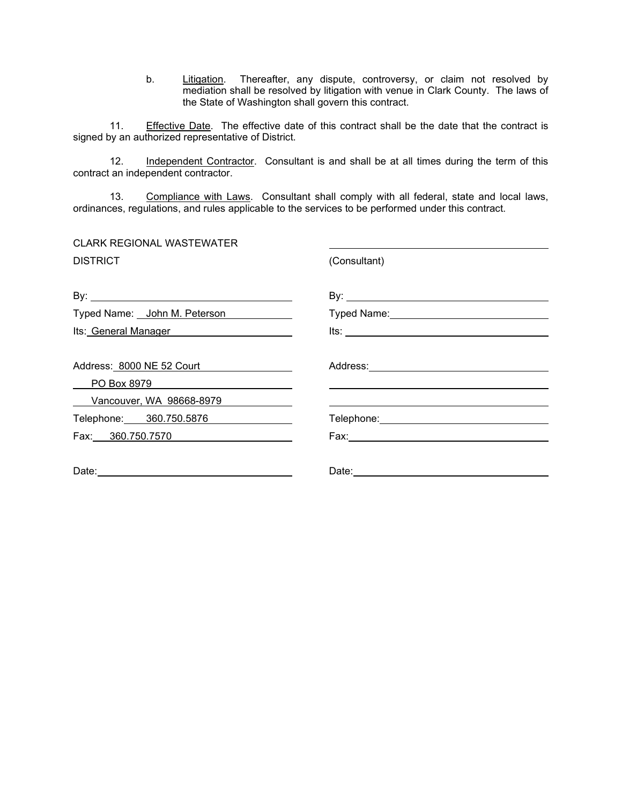b. Litigation. Thereafter, any dispute, controversy, or claim not resolved by mediation shall be resolved by litigation with venue in Clark County. The laws of the State of Washington shall govern this contract.

11. Effective Date. The effective date of this contract shall be the date that the contract is signed by an authorized representative of District.

12. Independent Contractor. Consultant is and shall be at all times during the term of this contract an independent contractor.

13. Compliance with Laws. Consultant shall comply with all federal, state and local laws, ordinances, regulations, and rules applicable to the services to be performed under this contract.

| <b>CLARK REGIONAL WASTEWATER</b> |                                                                                                                                                                                                                                |
|----------------------------------|--------------------------------------------------------------------------------------------------------------------------------------------------------------------------------------------------------------------------------|
| <b>DISTRICT</b>                  | (Consultant)                                                                                                                                                                                                                   |
|                                  |                                                                                                                                                                                                                                |
| Typed Name: John M. Peterson     | Typed Name: View Manual Andrew Manual Andrew Manual Andrew Manual Andrew Manual Andrew Manual Andrew Manual Andrew Manual Andrew Manual Andrew Manual Andrew Manual Andrew Manual Andrew Manual Andrew Manual Andrew Manual An |
| Its: General Manager             |                                                                                                                                                                                                                                |
| Address: 8000 NE 52 Court        |                                                                                                                                                                                                                                |
| PO Box 8979                      |                                                                                                                                                                                                                                |
| Vancouver, WA 98668-8979         |                                                                                                                                                                                                                                |
| Telephone: 360.750.5876          |                                                                                                                                                                                                                                |
| Fax: 360.750.7570                |                                                                                                                                                                                                                                |
|                                  |                                                                                                                                                                                                                                |